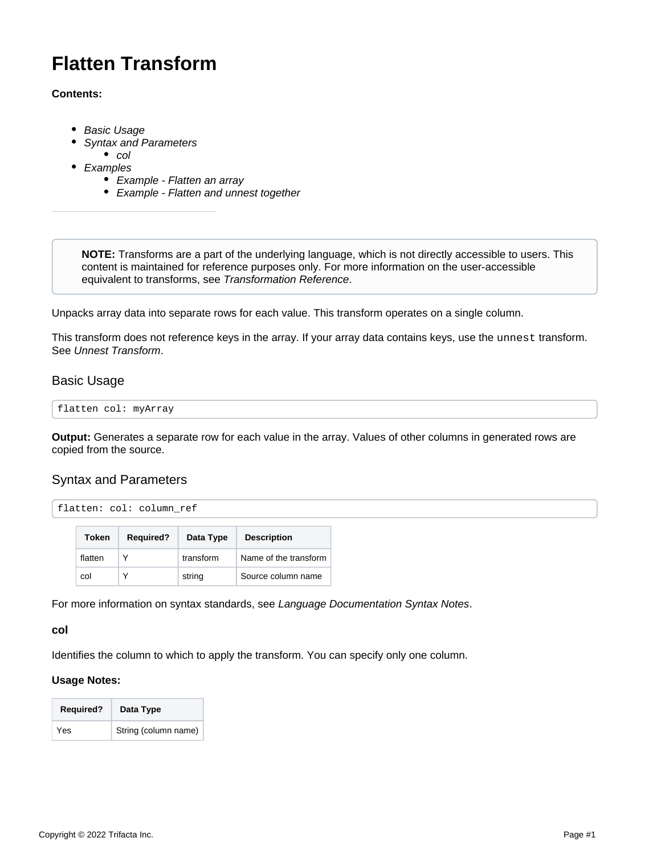# **Flatten Transform**

#### **Contents:**

- [Basic Usage](#page-0-0)
- [Syntax and Parameters](#page-0-1)
- $\bullet$  [col](#page-0-2)
- [Examples](#page-1-0)
	- [Example Flatten an array](#page-1-1)
	- [Example Flatten and unnest together](#page-2-0)

**NOTE:** Transforms are a part of the underlying language, which is not directly accessible to users. This content is maintained for reference purposes only. For more information on the user-accessible equivalent to transforms, see [Transformation Reference](https://docs.trifacta.com/display/r076/Transformation+Reference).

Unpacks array data into separate rows for each value. This transform operates on a single column.

This transform does not reference keys in the array. If your array data contains keys, use the unnest transform. See [Unnest Transform](https://docs.trifacta.com/display/r076/Unnest+Transform).

## <span id="page-0-0"></span>Basic Usage

```
flatten col: myArray
```
**Output:** Generates a separate row for each value in the array. Values of other columns in generated rows are copied from the source.

## <span id="page-0-1"></span>Syntax and Parameters

```
flatten: col: column_ref
```

| Token   | <b>Required?</b> | Data Type | <b>Description</b>    |
|---------|------------------|-----------|-----------------------|
| flatten | v                | transform | Name of the transform |
| col     | Υ                | string    | Source column name    |

For more information on syntax standards, see [Language Documentation Syntax Notes](https://docs.trifacta.com/display/r076/Language+Documentation+Syntax+Notes).

<span id="page-0-2"></span>**col**

Identifies the column to which to apply the transform. You can specify only one column.

#### **Usage Notes:**

| <b>Required?</b> | Data Type            |
|------------------|----------------------|
| Yes              | String (column name) |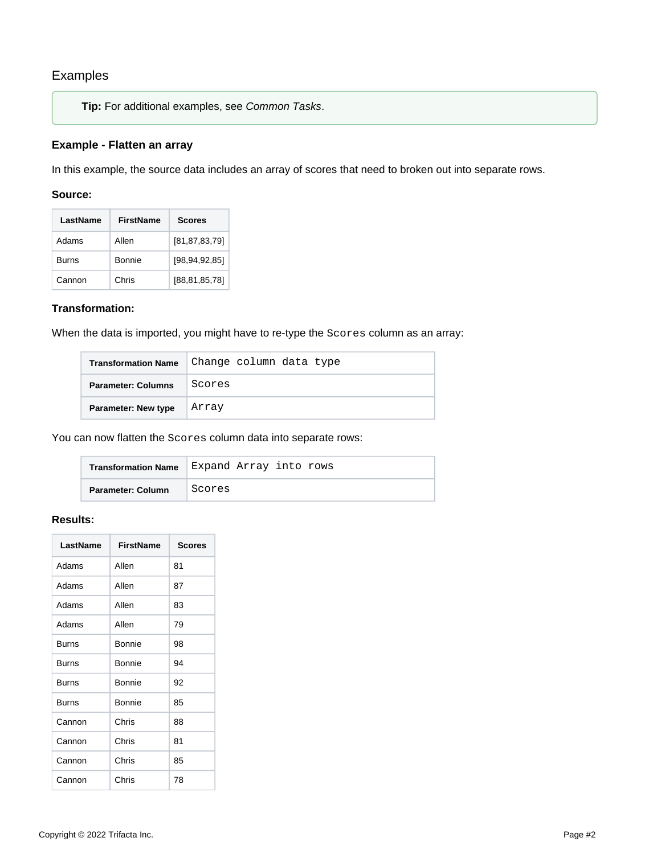# <span id="page-1-0"></span>Examples

**Tip:** For additional examples, see [Common Tasks](https://docs.trifacta.com/display/r076/Common+Tasks).

#### <span id="page-1-1"></span>**Example - Flatten an array**

In this example, the source data includes an array of scores that need to broken out into separate rows.

#### **Source:**

| LastName     | <b>FirstName</b> | <b>Scores</b>    |
|--------------|------------------|------------------|
| Adams        | Allen            | [81, 87, 83, 79] |
| <b>Burns</b> | Bonnie           | [98, 94, 92, 85] |
| Cannon       | Chris            | [88,81,85,78]    |

#### **Transformation:**

When the data is imported, you might have to re-type the Scores column as an array:

| <b>Transformation Name</b> | Change column data type |
|----------------------------|-------------------------|
| <b>Parameter: Columns</b>  | Scores                  |
| <b>Parameter: New type</b> | Array                   |

You can now flatten the Scores column data into separate rows:

| <b>Transformation Name</b> | Expand Array into rows |
|----------------------------|------------------------|
| Parameter: Column          | Scores                 |

# **Results:**

| LastName     | <b>FirstName</b> | <b>Scores</b> |
|--------------|------------------|---------------|
| Adams        | Allen            | 81            |
| Adams        | Allen            | 87            |
| Adams        | Allen            | 83            |
| Adams        | Allen            | 79            |
| <b>Burns</b> | Bonnie           | 98            |
| <b>Burns</b> | Bonnie           | 94            |
| <b>Burns</b> | Bonnie           | 92            |
| <b>Burns</b> | Bonnie           | 85            |
| Cannon       | Chris            | 88            |
| Cannon       | Chris            | 81            |
| Cannon       | Chris            | 85            |
| Cannon       | Chris            | 78            |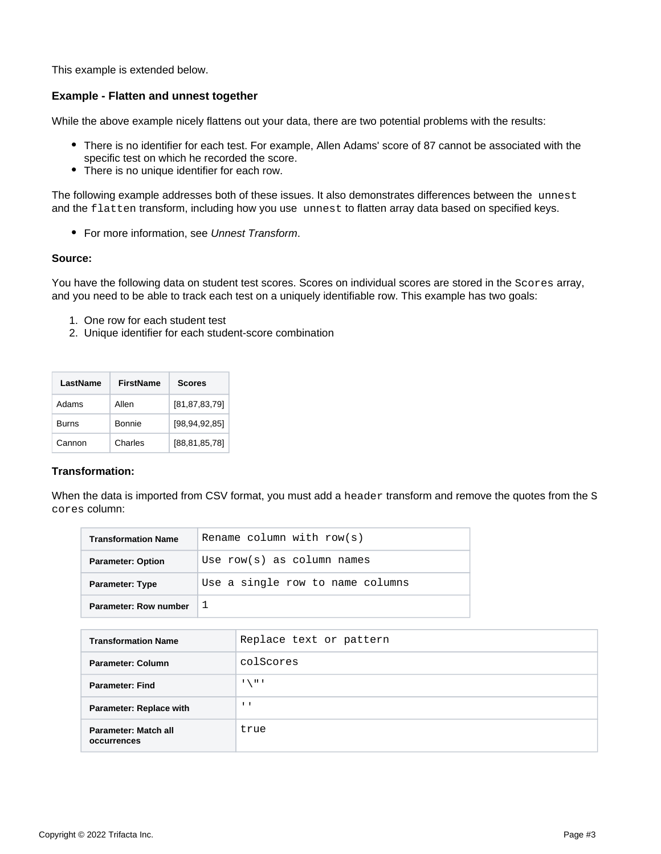This example is extended below.

#### <span id="page-2-0"></span>**Example - Flatten and unnest together**

While the above example nicely flattens out your data, there are two potential problems with the results:

- There is no identifier for each test. For example, Allen Adams' score of 87 cannot be associated with the specific test on which he recorded the score.
- $\bullet$ There is no unique identifier for each row.

The following example addresses both of these issues. It also demonstrates differences between the unnest and the flatten transform, including how you use unnest to flatten array data based on specified keys.

• For more information, see [Unnest Transform](https://docs.trifacta.com/display/r076/Unnest+Transform).

#### **Source:**

You have the following data on student test scores. Scores on individual scores are stored in the Scores array, and you need to be able to track each test on a uniquely identifiable row. This example has two goals:

- 1. One row for each student test
- 2. Unique identifier for each student-score combination

| LastName | <b>FirstName</b> | <b>Scores</b>    |
|----------|------------------|------------------|
| Adams    | Allen            | [81, 87, 83, 79] |
| Burns    | Bonnie           | [98, 94, 92, 85] |
| Cannon   | Charles          | [88, 81, 85, 78] |

#### **Transformation:**

When the data is imported from CSV format, you must add a header transform and remove the quotes from the S cores column:

| <b>Transformation Name</b> | Rename column with $row(s)$      |
|----------------------------|----------------------------------|
| <b>Parameter: Option</b>   | Use $row(s)$ as column names     |
| <b>Parameter: Type</b>     | Use a single row to name columns |
| Parameter: Row number      |                                  |

| <b>Transformation Name</b>          | Replace text or pattern |
|-------------------------------------|-------------------------|
| Parameter: Column                   | colScores               |
| <b>Parameter: Find</b>              | $1 \times 111$          |
| <b>Parameter: Replace with</b>      | $\mathbf{I}$            |
| Parameter: Match all<br>occurrences | true                    |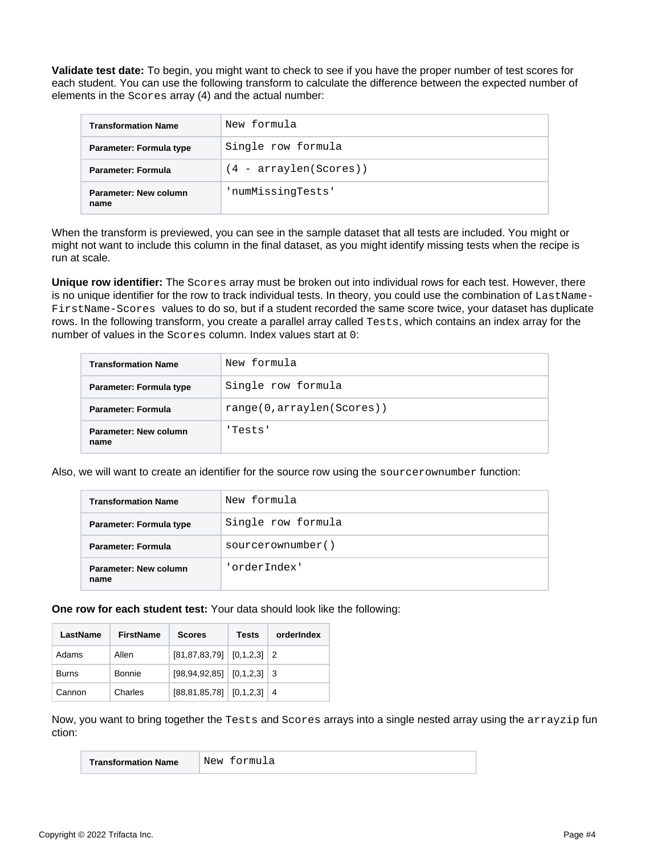**Validate test date:** To begin, you might want to check to see if you have the proper number of test scores for each student. You can use the following transform to calculate the difference between the expected number of elements in the Scores array (4) and the actual number:

| <b>Transformation Name</b>    | New formula              |
|-------------------------------|--------------------------|
| Parameter: Formula type       | Single row formula       |
| Parameter: Formula            | $(4 - arraylen(Scores))$ |
| Parameter: New column<br>name | 'numMissingTests'        |

When the transform is previewed, you can see in the sample dataset that all tests are included. You might or might not want to include this column in the final dataset, as you might identify missing tests when the recipe is run at scale.

**Unique row identifier:** The Scores array must be broken out into individual rows for each test. However, there is no unique identifier for the row to track individual tests. In theory, you could use the combination of LastName-FirstName-Scores values to do so, but if a student recorded the same score twice, your dataset has duplicate rows. In the following transform, you create a parallel array called Tests, which contains an index array for the number of values in the Scores column. Index values start at 0:

| <b>Transformation Name</b>    | New formula               |
|-------------------------------|---------------------------|
| Parameter: Formula type       | Single row formula        |
| <b>Parameter: Formula</b>     | range(0,arraylen(Scores)) |
| Parameter: New column<br>name | 'Tests'                   |

Also, we will want to create an identifier for the source row using the sourcerownumber function:

| <b>Transformation Name</b>    | New formula        |
|-------------------------------|--------------------|
| Parameter: Formula type       | Single row formula |
| <b>Parameter: Formula</b>     | sourcerownumber()  |
| Parameter: New column<br>name | 'orderIndex'       |

**One row for each student test:** Your data should look like the following:

| LastName | <b>FirstName</b> | <b>Scores</b>                       | Tests | orderIndex |
|----------|------------------|-------------------------------------|-------|------------|
| Adams    | Allen            | $[81, 87, 83, 79]$ $[0, 1, 2, 3]$ 2 |       |            |
| Burns    | Bonnie           | $[98, 94, 92, 85]$ $[0, 1, 2, 3]$ 3 |       |            |
| Cannon   | Charles          | $[88, 81, 85, 78]$ $[0, 1, 2, 3]$ 4 |       |            |

Now, you want to bring together the Tests and Scores arrays into a single nested array using the arrayzip fun ction:

| <b>Transformation Name</b> | 'New formula |
|----------------------------|--------------|
|----------------------------|--------------|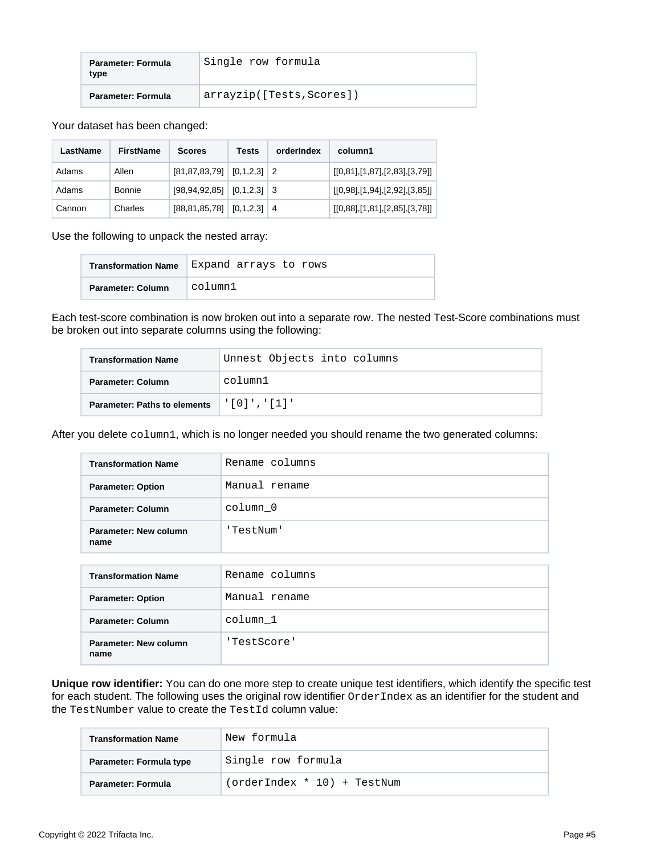| Parameter: Formula<br>type | Single row formula        |
|----------------------------|---------------------------|
| <b>Parameter: Formula</b>  | arrayzip([Tests, Scores]) |

Your dataset has been changed:

| LastName | FirstName | <b>Scores</b>                     | <b>Tests</b> | orderIndex | column1                       |
|----------|-----------|-----------------------------------|--------------|------------|-------------------------------|
| Adams    | Allen     | $[81, 87, 83, 79]$ $[0, 1, 2, 3]$ |              | -2         | [[0,81],[1,87],[2,83],[3,79]] |
| Adams    | Bonnie    | $[98, 94, 92, 85]$ $[0, 1, 2, 3]$ |              |            | [[0,98],[1,94],[2,92],[3,85]] |
| Cannon   | Charles   | $[88, 81, 85, 78]$ $[0, 1, 2, 3]$ |              | 4          | [[0,88],[1,81],[2,85],[3,78]] |

Use the following to unpack the nested array:

| <b>Transformation Name</b> | Expand arrays to rows |
|----------------------------|-----------------------|
| Parameter: Column          | column1               |

Each test-score combination is now broken out into a separate row. The nested Test-Score combinations must be broken out into separate columns using the following:

| <b>Transformation Name</b>          | Unnest Objects into columns |
|-------------------------------------|-----------------------------|
| Parameter: Column                   | column1                     |
| <b>Parameter: Paths to elements</b> | $'$ [0]','[1]'              |

After you delete column1, which is no longer needed you should rename the two generated columns:

| <b>Transformation Name</b>    | Rename columns |
|-------------------------------|----------------|
| <b>Parameter: Option</b>      | Manual rename  |
| Parameter: Column             | column 0       |
| Parameter: New column<br>name | 'TestNum'      |
|                               |                |
| <b>Transformation Name</b>    | Rename columns |
| <b>Parameter: Option</b>      | Manual rename  |
| Parameter: Column             | column 1       |
| Parameter: New column<br>name | 'TestScore'    |

**Unique row identifier:** You can do one more step to create unique test identifiers, which identify the specific test for each student. The following uses the original row identifier OrderIndex as an identifier for the student and the TestNumber value to create the TestId column value:

| <b>Transformation Name</b> | New formula                 |
|----------------------------|-----------------------------|
| Parameter: Formula type    | Single row formula          |
| Parameter: Formula         | (orderIndex * 10) + TestNum |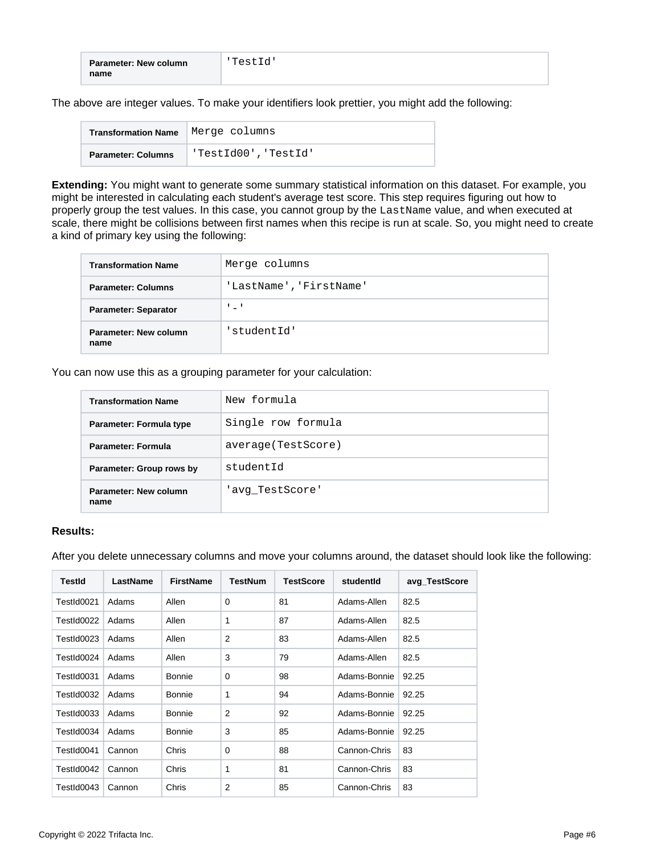| <b>Parameter: New column</b> | 'TestId' |
|------------------------------|----------|
| name                         |          |

The above are integer values. To make your identifiers look prettier, you might add the following:

| Transformation Name   Merge columns |                      |
|-------------------------------------|----------------------|
| <b>Parameter: Columns</b>           | 'TestId00', 'TestId' |

**Extending:** You might want to generate some summary statistical information on this dataset. For example, you might be interested in calculating each student's average test score. This step requires figuring out how to properly group the test values. In this case, you cannot group by the LastName value, and when executed at scale, there might be collisions between first names when this recipe is run at scale. So, you might need to create a kind of primary key using the following:

| <b>Transformation Name</b>    | Merge columns           |
|-------------------------------|-------------------------|
| <b>Parameter: Columns</b>     | 'LastName', 'FirstName' |
| <b>Parameter: Separator</b>   | ' = '                   |
| Parameter: New column<br>name | 'studentId'             |

You can now use this as a grouping parameter for your calculation:

| <b>Transformation Name</b>    | New formula         |
|-------------------------------|---------------------|
| Parameter: Formula type       | Single row formula  |
| Parameter: Formula            | average (TestScore) |
| Parameter: Group rows by      | studentId           |
| Parameter: New column<br>name | 'avg TestScore'     |

#### **Results:**

After you delete unnecessary columns and move your columns around, the dataset should look like the following:

| <b>TestId</b> | LastName | <b>FirstName</b> | <b>TestNum</b> | <b>TestScore</b> | studentid    | avg_TestScore |
|---------------|----------|------------------|----------------|------------------|--------------|---------------|
| TestId0021    | Adams    | Allen            | $\Omega$       | 81               | Adams-Allen  | 82.5          |
| TestId0022    | Adams    | Allen            | 1              | 87               | Adams-Allen  | 82.5          |
| TestId0023    | Adams    | Allen            | $\overline{2}$ | 83               | Adams-Allen  | 82.5          |
| TestId0024    | Adams    | Allen            | 3              | 79               | Adams-Allen  | 82.5          |
| TestId0031    | Adams    | Bonnie           | $\Omega$       | 98               | Adams-Bonnie | 92.25         |
| TestId0032    | Adams    | <b>Bonnie</b>    | 1              | 94               | Adams-Bonnie | 92.25         |
| TestId0033    | Adams    | Bonnie           | 2              | 92               | Adams-Bonnie | 92.25         |
| TestId0034    | Adams    | Bonnie           | 3              | 85               | Adams-Bonnie | 92.25         |
| TestId0041    | Cannon   | Chris            | 0              | 88               | Cannon-Chris | 83            |
| TestId0042    | Cannon   | Chris            | 1              | 81               | Cannon-Chris | 83            |
| TestId0043    | Cannon   | Chris            | 2              | 85               | Cannon-Chris | 83            |